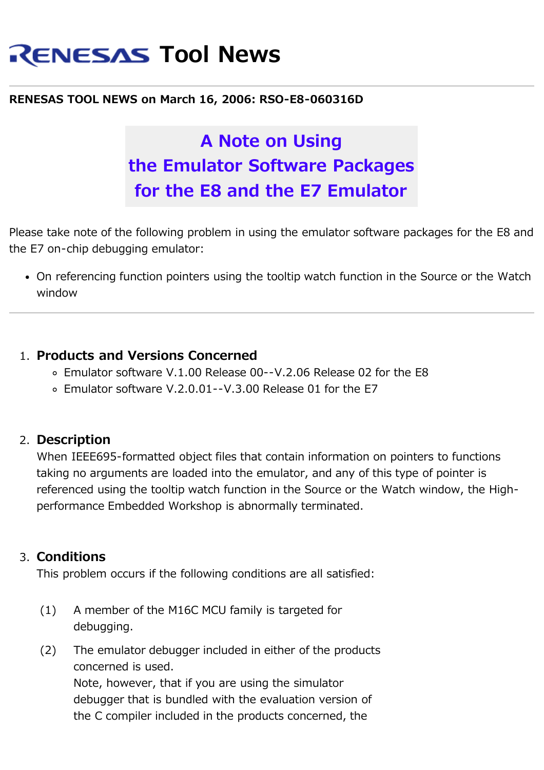# **RENESAS Tool News**

#### **RENESAS TOOL NEWS on March 16, 2006: RSO-E8-060316D**

## **A Note on Using the Emulator Software Packages for the E8 and the E7 Emulator**

Please take note of the following problem in using the emulator software packages for the E8 and the E7 on-chip debugging emulator:

On referencing function pointers using the tooltip watch function in the Source or the Watch window

#### 1. **Products and Versions Concerned**

- Emulator software V.1.00 Release 00--V.2.06 Release 02 for the E8
- Emulator software V.2.0.01--V.3.00 Release 01 for the E7

#### 2. **Description**

When IEEE695-formatted object files that contain information on pointers to functions taking no arguments are loaded into the emulator, and any of this type of pointer is referenced using the tooltip watch function in the Source or the Watch window, the Highperformance Embedded Workshop is abnormally terminated.

#### 3. **Conditions**

This problem occurs if the following conditions are all satisfied:

- (1) A member of the M16C MCU family is targeted for debugging.
- (2) The emulator debugger included in either of the products concerned is used. Note, however, that if you are using the simulator debugger that is bundled with the evaluation version of the C compiler included in the products concerned, the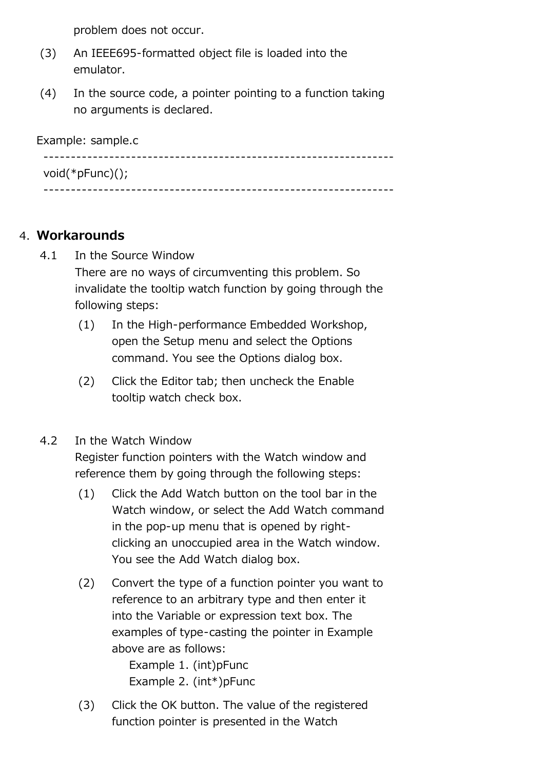problem does not occur.

- (3) An IEEE695-formatted object file is loaded into the emulator.
- (4) In the source code, a pointer pointing to a function taking no arguments is declared.

Example: sample.c

| $void(*pFunc)();$ |
|-------------------|
|                   |

### 4. **Workarounds**

4.1 In the Source Window

There are no ways of circumventing this problem. So invalidate the tooltip watch function by going through the following steps:

- (1) In the High-performance Embedded Workshop, open the Setup menu and select the Options command. You see the Options dialog box.
- (2) Click the Editor tab; then uncheck the Enable tooltip watch check box.

#### 4.2 In the Watch Window

Register function pointers with the Watch window and reference them by going through the following steps:

- (1) Click the Add Watch button on the tool bar in the Watch window, or select the Add Watch command in the pop-up menu that is opened by rightclicking an unoccupied area in the Watch window. You see the Add Watch dialog box.
- (2) Convert the type of a function pointer you want to reference to an arbitrary type and then enter it into the Variable or expression text box. The examples of type-casting the pointer in Example above are as follows:

 Example 1. (int)pFunc Example 2. (int\*)pFunc

(3) Click the OK button. The value of the registered function pointer is presented in the Watch